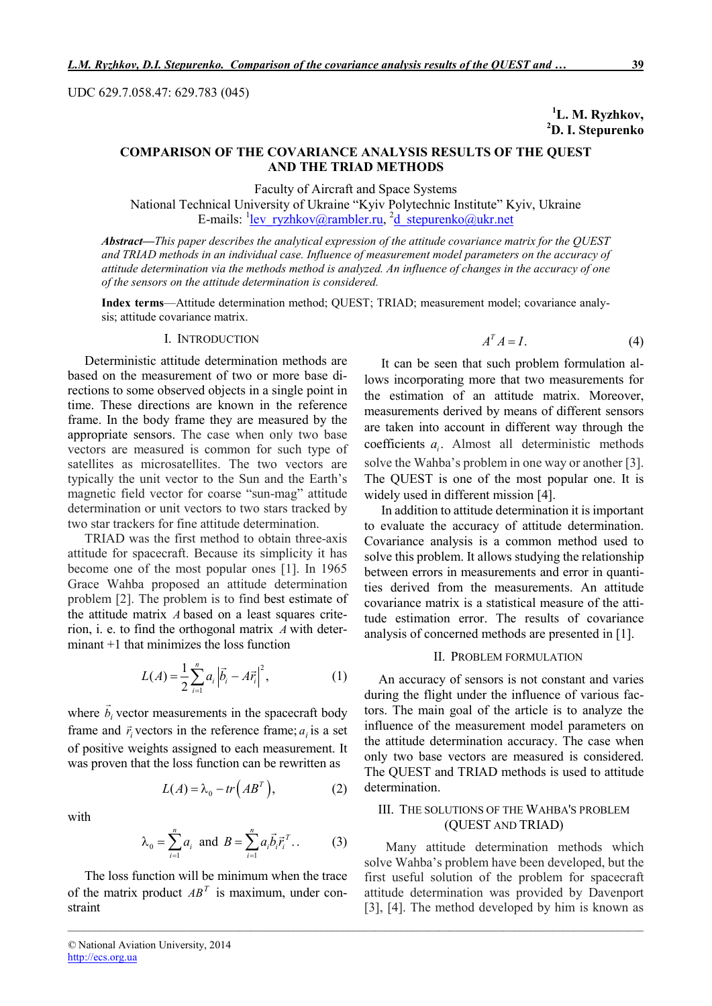UDC 629.7.058.47: 629.783 (045)

<sup>1</sup>L. M. Ryzhkov, 2 D. I. Stepurenko

# COMPARISON OF THE COVARIANCE ANALYSIS RESULTS OF THE QUEST AND THE TRIAD METHODS

Faculty of Aircraft and Space Systems

National Technical University of Ukraine "Kyiv Polytechnic Institute" Kyiv, Ukraine E-mails: <sup>1</sup>lev\_ryzhkov@rambler.ru, <sup>2</sup>d\_stepurenko@ukr.net

*Abstract*—*This paper describes the analytical expression of the attitude covariance matrix for the QUEST and TRIAD methods in an individual case. Influence of measurement model parameters on the accuracy of attitude determination via the methods method is analyzed. An influence of changes in the accuracy of one of the sensors on the attitude determination is considered.*

Index terms—Attitude determination method; QUEST; TRIAD; measurement model; covariance analysis; attitude covariance matrix.

*\_\_\_\_\_\_\_\_\_\_\_\_\_\_\_\_\_\_\_\_\_\_\_\_\_\_\_\_\_\_\_\_\_\_\_\_\_\_\_\_\_\_\_\_\_\_\_\_\_\_\_\_\_\_\_\_\_\_\_\_\_\_\_\_\_\_\_\_\_\_\_\_\_\_\_\_\_\_\_\_\_\_\_\_\_\_\_\_\_\_\_\_\_\_\_\_\_\_\_\_\_\_\_\_\_\_\_*

#### I. INTRODUCTION

Deterministic attitude determination methods are based on the measurement of two or more base directions to some observed objects in a single point in time. These directions are known in the reference frame. In the body frame they are measured by the appropriate sensors. The case when only two base vectors are measured is common for such type of satellites as microsatellites. The two vectors are typically the unit vector to the Sun and the Earth's magnetic field vector for coarse "sun-mag" attitude determination or unit vectors to two stars tracked by two star trackers for fine attitude determination.

TRIAD was the first method to obtain three-axis attitude for spacecraft. Because its simplicity it has become one of the most popular ones [1]. In 1965 Grace Wahba proposed an attitude determination problem [2]. The problem is to find best estimate of the attitude matrix *A* based on a least squares criterion, i. e. to find the orthogonal matrix *A* with determinant +1 that minimizes the loss function

$$
L(A) = \frac{1}{2} \sum_{i=1}^{n} a_i \left| \vec{b}_i - A \vec{r}_i \right|^2, \tag{1}
$$

where  $b_i$  $\overline{a}$ vector measurements in the spacecraft body frame and  $\vec{r}_i$  vectors in the reference frame;  $a_i$  is a set of positive weights assigned to each measurement. It was proven that the loss function can be rewritten as

$$
L(A) = \lambda_0 - tr\left(AB^T\right),\tag{2}
$$

with

$$
\lambda_0 = \sum_{i=1}^n a_i
$$
 and  $B = \sum_{i=1}^n a_i \vec{b}_i \vec{r}_i^T$  (3)

The loss function will be minimum when the trace of the matrix product  $AB<sup>T</sup>$  is maximum, under constraint

$$
A^T A = I. \tag{4}
$$

It can be seen that such problem formulation allows incorporating more that two measurements for the estimation of an attitude matrix. Moreover, measurements derived by means of different sensors are taken into account in different way through the coefficients  $a_i$ . Almost all deterministic methods solve the Wahba's problem in one way or another [3]. The QUEST is one of the most popular one. It is widely used in different mission [4].

In addition to attitude determination it is important to evaluate the accuracy of attitude determination. Covariance analysis is a common method used to solve this problem. It allows studying the relationship between errors in measurements and error in quantities derived from the measurements. An attitude covariance matrix is a statistical measure of the attitude estimation error. The results of covariance analysis of concerned methods are presented in [1].

#### II. PROBLEM FORMULATION

An accuracy of sensors is not constant and varies during the flight under the influence of various factors. The main goal of the article is to analyze the influence of the measurement model parameters on the attitude determination accuracy. The case when only two base vectors are measured is considered. The QUEST and TRIAD methods is used to attitude determination.

### III. THE SOLUTIONS OF THE WAHBA'S PROBLEM (QUEST AND TRIAD)

Many attitude determination methods which solve Wahba's problem have been developed, but the first useful solution of the problem for spacecraft attitude determination was provided by Davenport [3], [4]. The method developed by him is known as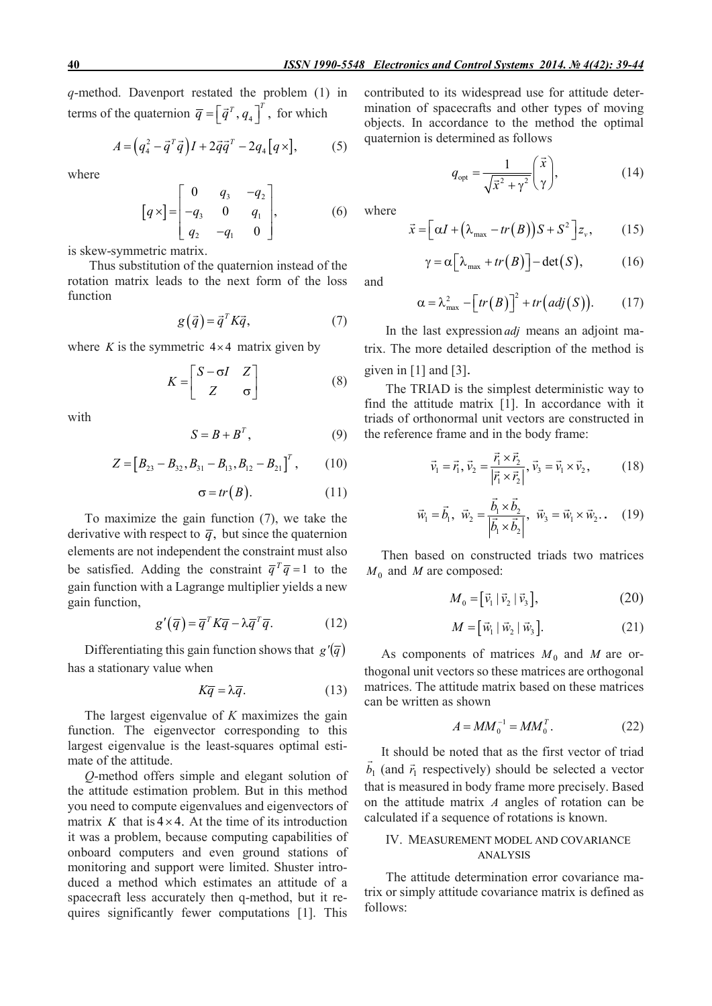*q*-method. Davenport restated the problem (1) in terms of the quaternion  $\overline{q} = \left[\overline{q}^T, q_4\right]^T$ , for which

$$
A = \left(q_4^2 - \vec{q}^T \vec{q}\right)I + 2\vec{q}\vec{q}^T - 2q_4\left[q \times\right],\tag{5}
$$

where

$$
\[q \times \] = \begin{bmatrix} 0 & q_3 & -q_2 \\ -q_3 & 0 & q_1 \\ q_2 & -q_1 & 0 \end{bmatrix}, \tag{6}
$$

is skew-symmetric matrix.

Thus substitution of the quaternion instead of the rotation matrix leads to the next form of the loss function

$$
g(\vec{q}) = \vec{q}^T K \vec{q}, \qquad (7)
$$

where *K* is the symmetric  $4 \times 4$  matrix given by

$$
K = \begin{bmatrix} S - \sigma I & Z \\ Z & \sigma \end{bmatrix}
$$
 (8)

with

$$
S = B + B^T, \tag{9}
$$

$$
Z = [B_{23} - B_{32}, B_{31} - B_{13}, B_{12} - B_{21}]^{T}, \qquad (10)
$$

$$
\sigma = tr(B). \tag{11}
$$

To maximize the gain function (7), we take the derivative with respect to  $\overline{q}$ , but since the quaternion elements are not independent the constraint must also be satisfied. Adding the constraint  $\overline{q}^T \overline{q} = 1$  to the gain function with a Lagrange multiplier yields a new gain function,

$$
g'(\overline{q}) = \overline{q}^T K \overline{q} - \lambda \overline{q}^T \overline{q}.
$$
 (12)

Differentiating this gain function shows that  $g'(\bar{q})$ has a stationary value when

$$
K\overline{q} = \lambda \overline{q}.
$$
 (13)

The largest eigenvalue of *K* maximizes the gain function. The eigenvector corresponding to this largest eigenvalue is the least-squares optimal estimate of the attitude.

*Q*-method offers simple and elegant solution of the attitude estimation problem. But in this method you need to compute eigenvalues and eigenvectors of matrix *K* that is  $4 \times 4$ . At the time of its introduction it was a problem, because computing capabilities of onboard computers and even ground stations of monitoring and support were limited. Shuster introduced a method which estimates an attitude of a spacecraft less accurately then q-method, but it requires significantly fewer computations [1]. This contributed to its widespread use for attitude determination of spacecrafts and other types of moving objects. In accordance to the method the optimal quaternion is determined as follows

$$
q_{\rm opt} = \frac{1}{\sqrt{\vec{x}^2 + \gamma^2}} \left(\frac{\vec{x}}{\gamma}\right),\tag{14}
$$

where

and

$$
\vec{x} = \left[\alpha I + \left(\lambda_{\text{max}} - tr(B)\right)S + S^2\right]z_v, \quad (15)
$$

$$
\gamma = \alpha \left[ \lambda_{\text{max}} + tr(B) \right] - \det(S), \tag{16}
$$

$$
\alpha = \lambda_{\max}^2 - \left[ tr(B) \right]^2 + tr\big( adj(S) \big). \tag{17}
$$

In the last expression *adj* means an adjoint matrix. The more detailed description of the method is given in  $[1]$  and  $[3]$ .

The TRIAD is the simplest deterministic way to find the attitude matrix [1]. In accordance with it triads of orthonormal unit vectors are constructed in the reference frame and in the body frame:

$$
\vec{v}_1 = \vec{r}_1, \vec{v}_2 = \frac{\vec{r}_1 \times \vec{r}_2}{|\vec{r}_1 \times \vec{r}_2|}, \vec{v}_3 = \vec{v}_1 \times \vec{v}_2, \quad (18)
$$

$$
\vec{w}_1 = \vec{b}_1, \ \vec{w}_2 = \frac{\vec{b}_1 \times \vec{b}_2}{|\vec{b}_1 \times \vec{b}_2|}, \ \vec{w}_3 = \vec{w}_1 \times \vec{w}_2. \quad (19)
$$

Then based on constructed triads two matrices  $M_0$  and *M* are composed:

$$
M_0 = [\vec{v}_1 | \vec{v}_2 | \vec{v}_3], \tag{20}
$$

$$
M = \left[\vec{w}_1 \mid \vec{w}_2 \mid \vec{w}_3\right].\tag{21}
$$

As components of matrices  $M_0$  and  $M$  are orthogonal unit vectors so these matrices are orthogonal matrices. The attitude matrix based on these matrices can be written as shown

$$
A = MM_0^{-1} = MM_0^T.
$$
 (22)

It should be noted that as the first vector of triad  $\vec{b}_1$  (and  $\vec{r}_1$  respectively) should be selected a vector that is measured in body frame more precisely. Based on the attitude matrix *A* angles of rotation can be calculated if a sequence of rotations is known.

### IV. MEASUREMENT MODEL AND COVARIANCE ANALYSIS

The attitude determination error covariance matrix or simply attitude covariance matrix is defined as follows: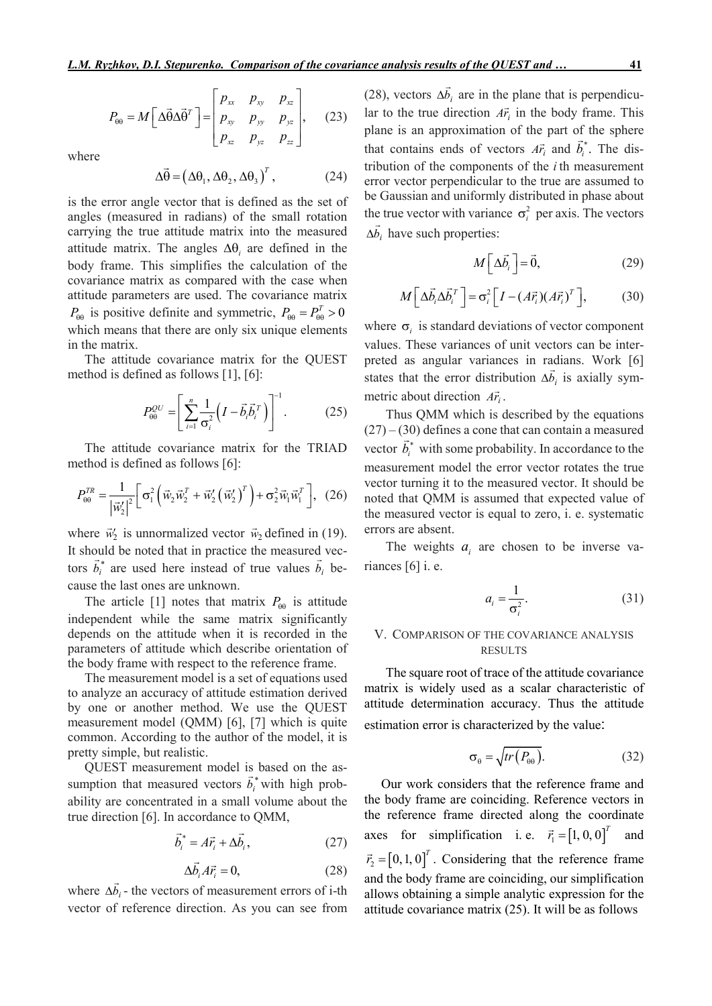$$
P_{\theta\theta} = M \left[ \Delta \vec{\theta} \Delta \vec{\theta}^T \right] = \begin{bmatrix} p_{xx} & p_{xy} & p_{xz} \\ p_{xy} & p_{yy} & p_{yz} \\ p_{xz} & p_{yz} & p_{zz} \end{bmatrix}, \quad (23)
$$

where

$$
\Delta \vec{\theta} = (\Delta \theta_1, \Delta \theta_2, \Delta \theta_3)^T, \qquad (24)
$$

is the error angle vector that is defined as the set of angles (measured in radians) of the small rotation carrying the true attitude matrix into the measured attitude matrix. The angles  $\Delta\theta$ , are defined in the body frame. This simplifies the calculation of the covariance matrix as compared with the case when attitude parameters are used. The covariance matrix  $P_{\theta\theta}$  is positive definite and symmetric,  $P_{\theta\theta} = P_{\theta\theta}^T > 0$ which means that there are only six unique elements in the matrix.

The attitude covariance matrix for the QUEST method is defined as follows [1], [6]:

$$
P_{\theta\theta}^{QU} = \left[ \sum_{i=1}^{n} \frac{1}{\sigma_i^2} \left( I - \vec{b}_i \vec{b}_i^T \right) \right]^{-1} . \tag{25}
$$

The attitude covariance matrix for the TRIAD method is defined as follows [6]:

$$
P_{\theta\theta}^{TR} = \frac{1}{\left|\vec{w}_2'\right|^2} \left[\sigma_1^2 \left(\vec{w}_2 \vec{w}_2^T + \vec{w}_2' \left(\vec{w}_2'\right)^T\right) + \sigma_2^2 \vec{w}_1 \vec{w}_1^T\right], \tag{26}
$$

where  $\vec{w}_2$  is unnormalized vector  $\vec{w}_2$  defined in (19). It should be noted that in practice the measured vectors  $\vec{b}_i^*$  are used here instead of true values  $\vec{b}_i$  because the last ones are unknown.

The article [1] notes that matrix  $P_{\theta\theta}$  is attitude independent while the same matrix significantly depends on the attitude when it is recorded in the parameters of attitude which describe orientation of the body frame with respect to the reference frame.

The measurement model is a set of equations used to analyze an accuracy of attitude estimation derived by one or another method. We use the QUEST measurement model (QMM) [6], [7] which is quite common. According to the author of the model, it is pretty simple, but realistic.

QUEST measurement model is based on the assumption that measured vectors  $\vec{b}_i^*$  with high probability are concentrated in a small volume about the true direction [6]. In accordance to QMM,

$$
\vec{b}_i^* = A\vec{r}_i + \Delta\vec{b}_i, \qquad (27)
$$

$$
\Delta \vec{b}_i A \vec{r}_i = 0, \qquad (28)
$$

where  $\Delta b_i$  $\overline{a}$  $\Delta b_i$  - the vectors of measurement errors of i-th vector of reference direction. As you can see from

(28), vectors  $\Delta b_i$  $\overline{a}$  $\Delta b_i$  are in the plane that is perpendicular to the true direction  $\overrightarrow{A}$ <sup>*r*</sup><sub>*i*</sub> in the body frame. This plane is an approximation of the part of the sphere that contains ends of vectors  $\overrightarrow{Ar}_i$  and  $\overrightarrow{b}_i^*$ . The distribution of the components of the *i*th measurement error vector perpendicular to the true are assumed to be Gaussian and uniformly distributed in phase about the true vector with variance  $\sigma_i^2$  per axis. The vectors  $\Delta b_i$  have such properties:

$$
M\left[\Delta \vec{b}_i\right] = \vec{0},\tag{29}
$$

$$
M\left[\Delta \vec{b}_i \Delta \vec{b}_i^T\right] = \sigma_i^2 \left[I - (A\vec{r}_i)(A\vec{r}_i)^T\right],\tag{30}
$$

where  $\sigma_i$  is standard deviations of vector component values. These variances of unit vectors can be interpreted as angular variances in radians. Work [6] states that the error distribution  $\Delta b_i$  $\frac{1}{1}$  $\Delta b_i$  is axially symmetric about direction  $A\vec{r}_i$ .

Thus QMM which is described by the equations  $(27) - (30)$  defines a cone that can contain a measured vector  $\vec{b}_i^*$  with some probability. In accordance to the measurement model the error vector rotates the true vector turning it to the measured vector. It should be noted that QMM is assumed that expected value of the measured vector is equal to zero, i. e. systematic errors are absent.

The weights  $a_i$  are chosen to be inverse variances [6] i. e.

$$
a_i = \frac{1}{\sigma_i^2}.\tag{31}
$$

# V. COMPARISON OF THE COVARIANCE ANALYSIS RESULTS

The square root of trace of the attitude covariance matrix is widely used as a scalar characteristic of attitude determination accuracy. Thus the attitude estimation error is characterized by the value:

$$
\sigma_{\theta} = \sqrt{tr(P_{\theta\theta})}.
$$
 (32)

Our work considers that the reference frame and the body frame are coinciding. Reference vectors in the reference frame directed along the coordinate axes for simplification i. e.  $\vec{r}_1 = [1, 0, 0]^T$  and  $\vec{r}_2 = [0, 1, 0]^T$ . Considering that the reference frame and the body frame are coinciding, our simplification allows obtaining a simple analytic expression for the attitude covariance matrix (25). It will be as follows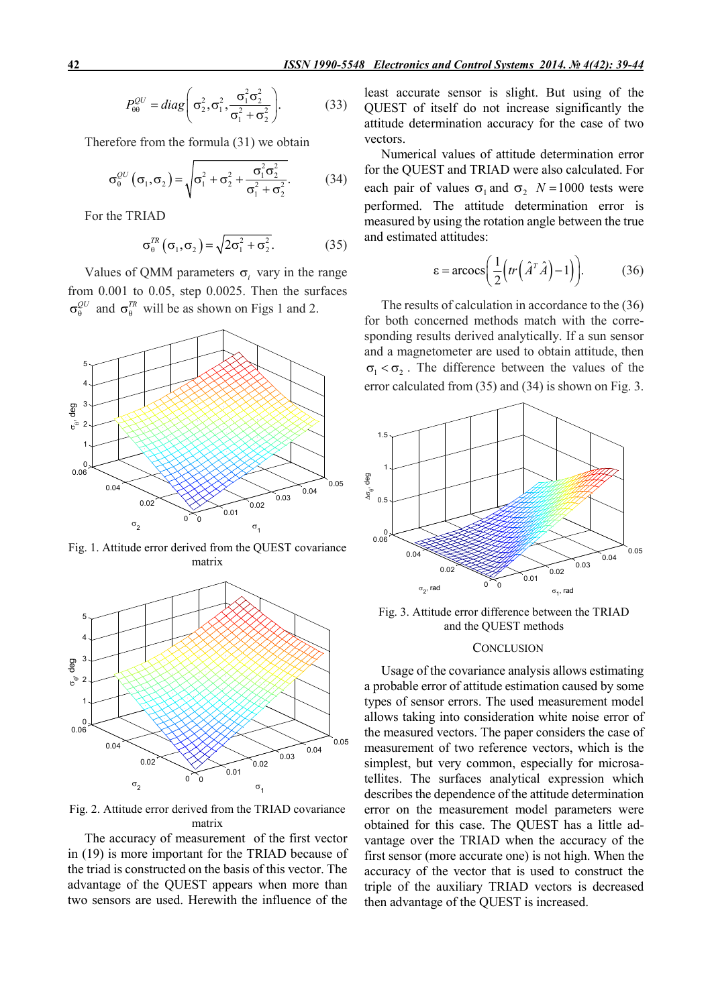$$
P_{\theta\theta}^{QU} = diag\left(\sigma_2^2, \sigma_1^2, \frac{\sigma_1^2 \sigma_2^2}{\sigma_1^2 + \sigma_2^2}\right).
$$
 (33)

Therefore from the formula (31) we obtain

$$
\sigma_{\theta}^{QU}(\sigma_1, \sigma_2) = \sqrt{\sigma_1^2 + \sigma_2^2 + \frac{\sigma_1^2 \sigma_2^2}{\sigma_1^2 + \sigma_2^2}}.
$$
 (34)

For the TRIAD

$$
\sigma_{\theta}^{TR}(\sigma_1, \sigma_2) = \sqrt{2\sigma_1^2 + \sigma_2^2}.
$$
 (35)

Values of QMM parameters  $\sigma$ , vary in the range from 0.001 to 0.05, step 0.0025. Then the surfaces  $\sigma_{\alpha}^{QU}$  and  $\sigma_{\alpha}^{TR}$  will be as shown on Figs 1 and 2.



Fig. 1. Attitude error derived from the QUEST covariance matrix



Fig. 2. Attitude error derived from the TRIAD covariance matrix

The accuracy of measurement of the first vector in (19) is more important for the TRIAD because of the triad is constructed on the basis of this vector. The advantage of the QUEST appears when more than two sensors are used. Herewith the influence of the least accurate sensor is slight. But using of the QUEST of itself do not increase significantly the attitude determination accuracy for the case of two vectors.

Numerical values of attitude determination error for the QUEST and TRIAD were also calculated. For each pair of values  $\sigma_1$  and  $\sigma_2$  *N* = 1000 tests were performed. The attitude determination error is measured by using the rotation angle between the true and estimated attitudes:

$$
\varepsilon = \arccos\bigg(\frac{1}{2}\bigg(tr\bigg(\hat{A}^T\hat{A}\bigg)-1\bigg)\bigg). \tag{36}
$$

The results of calculation in accordance to the (36) for both concerned methods match with the corresponding results derived analytically. If a sun sensor and a magnetometer are used to obtain attitude, then  $\sigma_1 < \sigma_2$ . The difference between the values of the error calculated from (35) and (34) is shown on Fig. 3.

![](_page_3_Figure_16.jpeg)

Fig. 3. Attitude error difference between the TRIAD and the QUEST methods

### **CONCLUSION**

Usage of the covariance analysis allows estimating a probable error of attitude estimation caused by some types of sensor errors. The used measurement model allows taking into consideration white noise error of the measured vectors. The paper considers the case of measurement of two reference vectors, which is the simplest, but very common, especially for microsatellites. The surfaces analytical expression which describes the dependence of the attitude determination error on the measurement model parameters were obtained for this case. The QUEST has a little advantage over the TRIAD when the accuracy of the first sensor (more accurate one) is not high. When the accuracy of the vector that is used to construct the triple of the auxiliary TRIAD vectors is decreased then advantage of the QUEST is increased.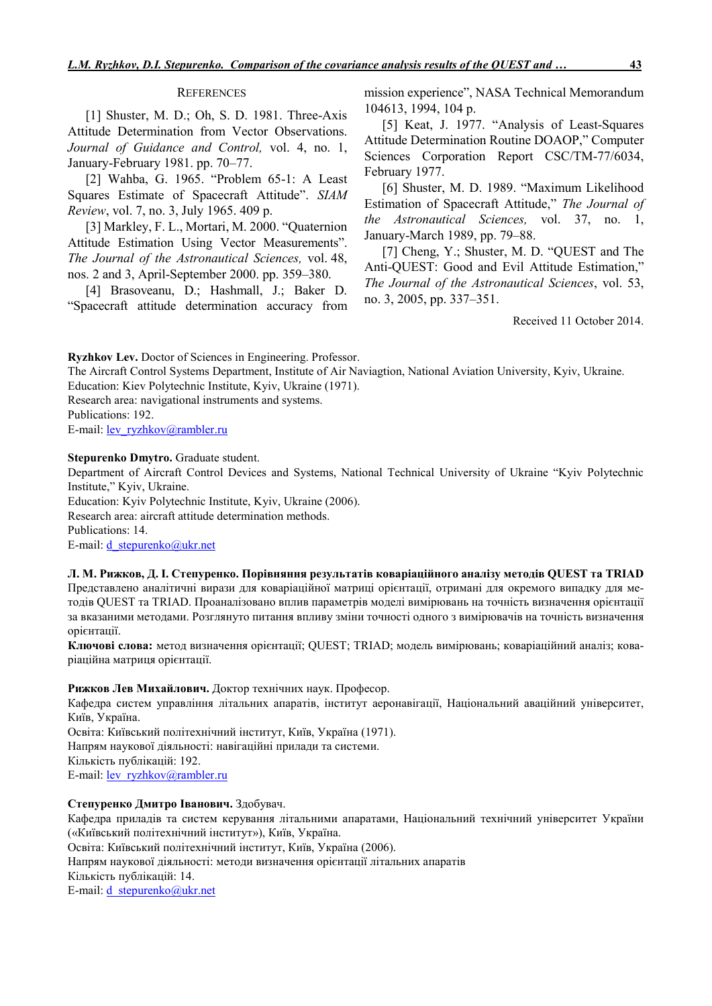#### **REFERENCES**

[1] Shuster, M. D.; Oh, S. D. 1981. Three-Axis Attitude Determination from Vector Observations. *Journal of Guidance and Control,* vol. 4, no. 1, January-February 1981. pp. 70–77.

[2] Wahba, G. 1965. "Problem 65-1: A Least Squares Estimate of Spacecraft Attitude". *SIAM Review*, vol. 7, no. 3, July 1965. 409 p.

[3] Markley, F. L., Mortari, M. 2000. "Quaternion Attitude Estimation Using Vector Measurements". *The Journal of the Astronautical Sciences,* vol. 48, nos. 2 and 3, April-September 2000. pp. 359–380.

[4] Brasoveanu, D.; Hashmall, J.; Baker D. "Spacecraft attitude determination accuracy from mission experience", NASA Technical Memorandum 104613, 1994, 104 p.

[5] Keat, J. 1977. "Analysis of Least-Squares Attitude Determination Routine DOAOP," Computer Sciences Corporation Report CSC/TM-77/6034, February 1977.

[6] Shuster, M. D. 1989. "Maximum Likelihood Estimation of Spacecraft Attitude," *The Journal of the Astronautical Sciences,* vol. 37, no. 1, January-March 1989, pp. 79–88.

[7] Cheng, Y.; Shuster, M. D. "QUEST and The Anti-QUEST: Good and Evil Attitude Estimation," *The Journal of the Astronautical Sciences*, vol. 53, no. 3, 2005, pp. 337–351.

Received 11 October 2014.

Ryzhkov Lev. Doctor of Sciences in Engineering. Professor.

The Aircraft Control Systems Department, Institute of Air Naviagtion, National Aviation University, Kyiv, Ukraine.

Education: Kiev Polytechnic Institute, Kyiv, Ukraine (1971).

Research area: navigational instruments and systems.

Publications: 192.

E-mail: <u>lev\_ryzhkov@rambler.ru</u>

### Stepurenko Dmytro. Graduate student.

Department of Aircraft Control Devices and Systems, National Technical University of Ukraine "Kyiv Polytechnic Institute," Kyiv, Ukraine.

Education: Kyiv Polytechnic Institute, Kyiv, Ukraine (2006). Research area: aircraft attitude determination methods. Publications: 14. E-mail: d\_stepurenko@ukr.net

### Л. М. Рижков, Д. І. Степуренко. Порівняння результатів коваріаційного аналізу методів QUEST та TRIAD

Представлено аналітичні вирази для коваріаційної матриці орієнтації, отримані для окремого випадку для методів QUEST та TRIAD. Проаналізовано вплив параметрів моделі вимірювань на точність визначення орієнтації за вказаними методами. Розглянуто питання впливу зміни точності одного з вимірювачів на точність визначення орієнтації.

Ключові слова: метод визначення орієнтації; QUEST; TRIAD; модель вимірювань; коваріаційний аналіз; коваріаційна матриця орієнтації.

### Рижков Лев Михайлович. Доктор технічних наук. Професор.

Кафедра систем управління літальних апаратів, інститут аеронавігації, Національний аваційний університет, Київ, Україна.

Освіта: Київський політехнічний інститут, Київ, Україна (1971). Напрям наукової діяльності: навігаційні прилади та системи. Кількість публікацій: 192. E-mail: <u>lev\_ryzhkov@rambler.ru</u>

### Степуренко Дмитро Iванович. Здобувач.

Кафедра приладів та систем керування літальними апаратами, Національний технічний університет України («Київський політехнічний інститут»), Київ, Україна.

Освіта: Київський політехнічний інститут, Київ, Україна (2006).

Напрям наукової діяльності: методи визначення орієнтації літальних апаратів

Кількість публікацій: 14.

E-mail:  $d$  stepurenko@ukr.net